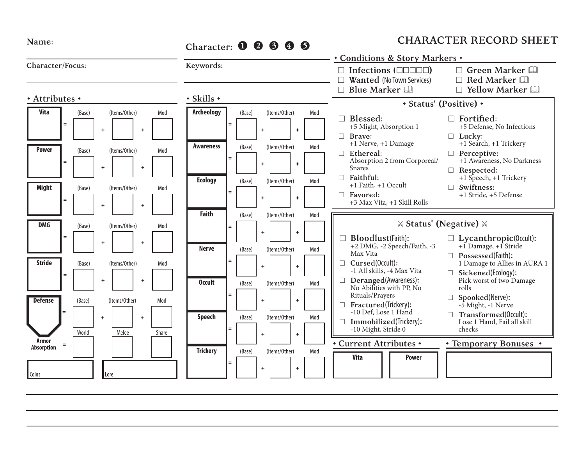| Name:                                       |                             |                            |                                        |                                                 |                                                | Character: 0 0 6 0<br>6 |                                                         |                 |                            |                           |                                                 | <b>CHARACTER RECORD SHEET</b>                                                                                         |                   |                                                                                                                                                               |                                                                                                        |  |                                                                                                                                            |                                                                  |  |  |                                                                                                                                                                                                                               |
|---------------------------------------------|-----------------------------|----------------------------|----------------------------------------|-------------------------------------------------|------------------------------------------------|-------------------------|---------------------------------------------------------|-----------------|----------------------------|---------------------------|-------------------------------------------------|-----------------------------------------------------------------------------------------------------------------------|-------------------|---------------------------------------------------------------------------------------------------------------------------------------------------------------|--------------------------------------------------------------------------------------------------------|--|--------------------------------------------------------------------------------------------------------------------------------------------|------------------------------------------------------------------|--|--|-------------------------------------------------------------------------------------------------------------------------------------------------------------------------------------------------------------------------------|
| <b>Character/Focus:</b>                     |                             |                            |                                        |                                                 |                                                | Keywords:               |                                                         |                 |                            |                           |                                                 | * Conditions & Story Markers *<br>Infections $(\Box \Box \Box \Box \Box)$<br>Wanted (No Town Services)<br>Blue Marker |                   |                                                                                                                                                               |                                                                                                        |  |                                                                                                                                            | $\Box$ Green Marker<br>$\Box$ Red Marker<br>$\Box$ Yellow Marker |  |  |                                                                                                                                                                                                                               |
| + Attributes +                              |                             |                            |                                        |                                                 |                                                | · Skills ·              |                                                         |                 |                            |                           | * Status' (Positive) *                          |                                                                                                                       |                   |                                                                                                                                                               |                                                                                                        |  |                                                                                                                                            |                                                                  |  |  |                                                                                                                                                                                                                               |
| <b>Vita</b><br><b>Power</b><br><b>Might</b> | $=$<br>$\equiv$<br>$\equiv$ | (Base)<br>(Base)<br>(Base) | $\ddot{+}$<br>$\ddot{}$<br>$\ddotmark$ | (Items/Other)<br>(Items/Other)<br>(Items/Other) | $\ddot{\phantom{1}}$<br>$\ddot{}$<br>$\ddot{}$ | Mod<br>Mod<br>Mod       | <b>Archeology</b><br><b>Awareness</b><br><b>Ecology</b> | $\equiv$<br>$=$ | (Base)<br>(Base)<br>(Base) | $\ddot{}$<br>÷<br>$\ddag$ | (Items/Other)<br>(Items/Other)<br>(Items/Other) | $\ddot{}$<br>$\ddot{}$<br>$\ddot{}$                                                                                   | Mod<br>Mod<br>Mod | $\Box$<br>П                                                                                                                                                   | $\Box$ Blessed:<br>Brave:<br>$\Box$ Ethereal:<br>Snares<br>Faithful:<br>$\Box$ Favored:                |  | +5 Might, Absorption 1<br>+1 Nerve, +1 Damage<br>Absorption 2 from Corporeal/<br>+1 Faith, +1 Occult<br>+3 Max Vita, +1 Skill Rolls        |                                                                  |  |  | $\Box$ Fortified:<br>+5 Defense, No Infections<br>$\Box$ Lucky:<br>+1 Search, +1 Trickery<br>$\Box$ Perceptive:<br>+1 Awareness, No Darkness<br>Respected:<br>+1 Speech, +1 Trickery<br>□ Swiftness:<br>+1 Stride, +5 Defense |
| <b>DMG</b>                                  |                             | (Base)                     |                                        | (Items/Other)                                   |                                                | Mod                     | <b>Faith</b>                                            |                 | (Base)                     |                           | (Items/Other)                                   |                                                                                                                       | Mod               |                                                                                                                                                               |                                                                                                        |  |                                                                                                                                            |                                                                  |  |  | $\times$ Status' (Negative) $\times$                                                                                                                                                                                          |
| <b>Stride</b>                               | $\equiv$<br>$\equiv$        | (Base)                     | $\ddot{}$<br>$\ddot{}$                 | (Items/Other)                                   | $\ddot{}$<br>÷                                 | Mod                     | <b>Nerve</b><br><b>Occult</b>                           | Ξ               | (Base)<br>(Base)           | $\ddot{}$<br>$\ddot{}$    | (Items/Other)<br>(Items/Other)                  | $\ddot{}$<br>$\ddot{}$                                                                                                | Mod<br>Mod        | $\Box$                                                                                                                                                        | Max Vita<br>$\Box$ Cursed(0ccult):                                                                     |  | <b>Bloodlust</b> (Faith):<br>+2 DMG, -2 Speech/Faith, -3<br>-1 All skills, -4 Max Vita<br>Deranged(Awareness):<br>No Abilities with PP, No |                                                                  |  |  | $\Box$ Lycanthropic(0ccult):<br>$+1$ Damage, $+1$ Stride<br>Possessed(Faith):<br>1 Damage to Allies in AURA 1<br>Sickened(Ecology):<br>Pick worst of two Damage<br>rolls                                                      |
| <b>Defense</b><br>Armor                     |                             | (Base)<br>World            | $+$                                    | (Items/Other)<br>Melee                          | $\ddot{\phantom{1}}$                           | Mod<br>Snare            | <b>Speech</b>                                           | Ξ.<br>=         | (Base)                     | $\ddot{}$<br>$\ddot{}$    | (Items/Other)                                   | $\ddot{}$<br>$\ddot{}$                                                                                                | Mod               | Rituals/Prayers<br>П<br>$\Box$ Fractured(Trickery):<br>-10 Def, Lose 1 Hand<br>$\Box$ Immobilized(Trickery):<br>-10 Might, Stride 0<br>* Current Attributes * | Spooked(Nerve):<br>-5 Might, -1 Nerve<br>Transformed(0ccult):<br>Lose 1 Hand, Fail all skill<br>checks |  |                                                                                                                                            |                                                                  |  |  |                                                                                                                                                                                                                               |
| Absorption<br>Coins                         | $\equiv$                    |                            | Lore                                   |                                                 |                                                |                         | <b>Trickery</b>                                         | $\equiv$        | (Base)                     | $\ddot{}$                 | (Items/Other)                                   | $\ddot{}$                                                                                                             | Mod               |                                                                                                                                                               | <b>Vita</b>                                                                                            |  |                                                                                                                                            | <b>Power</b>                                                     |  |  | • Temporary Bonuses •                                                                                                                                                                                                         |